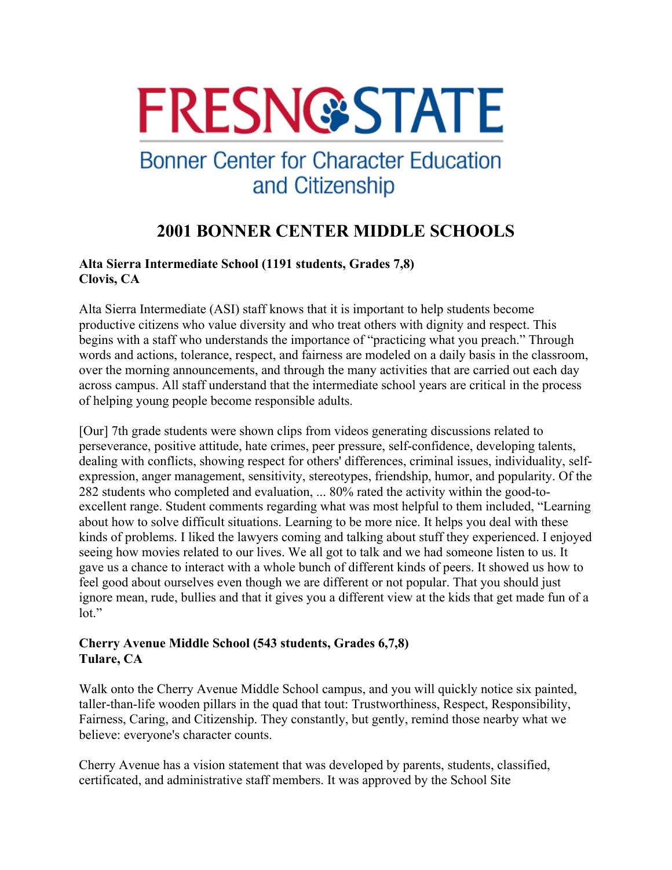# **FRESN@STATE**

## **Bonner Center for Character Education** and Citizenship

### **2001 BONNER CENTER MIDDLE SCHOOLS**

#### **Alta Sierra Intermediate School (1191 students, Grades 7,8) Clovis, CA**

Alta Sierra Intermediate (ASI) staff knows that it is important to help students become productive citizens who value diversity and who treat others with dignity and respect. This begins with a staff who understands the importance of "practicing what you preach." Through words and actions, tolerance, respect, and fairness are modeled on a daily basis in the classroom, over the morning announcements, and through the many activities that are carried out each day across campus. All staff understand that the intermediate school years are critical in the process of helping young people become responsible adults.

[Our] 7th grade students were shown clips from videos generating discussions related to perseverance, positive attitude, hate crimes, peer pressure, self-confidence, developing talents, dealing with conflicts, showing respect for others' differences, criminal issues, individuality, selfexpression, anger management, sensitivity, stereotypes, friendship, humor, and popularity. Of the 282 students who completed and evaluation, ... 80% rated the activity within the good-toexcellent range. Student comments regarding what was most helpful to them included, "Learning about how to solve difficult situations. Learning to be more nice. It helps you deal with these kinds of problems. I liked the lawyers coming and talking about stuff they experienced. I enjoyed seeing how movies related to our lives. We all got to talk and we had someone listen to us. It gave us a chance to interact with a whole bunch of different kinds of peers. It showed us how to feel good about ourselves even though we are different or not popular. That you should just ignore mean, rude, bullies and that it gives you a different view at the kids that get made fun of a  $\text{lot.}$ "

#### **Cherry Avenue Middle School (543 students, Grades 6,7,8) Tulare, CA**

Walk onto the Cherry Avenue Middle School campus, and you will quickly notice six painted, taller-than-life wooden pillars in the quad that tout: Trustworthiness, Respect, Responsibility, Fairness, Caring, and Citizenship. They constantly, but gently, remind those nearby what we believe: everyone's character counts.

Cherry Avenue has a vision statement that was developed by parents, students, classified, certificated, and administrative staff members. It was approved by the School Site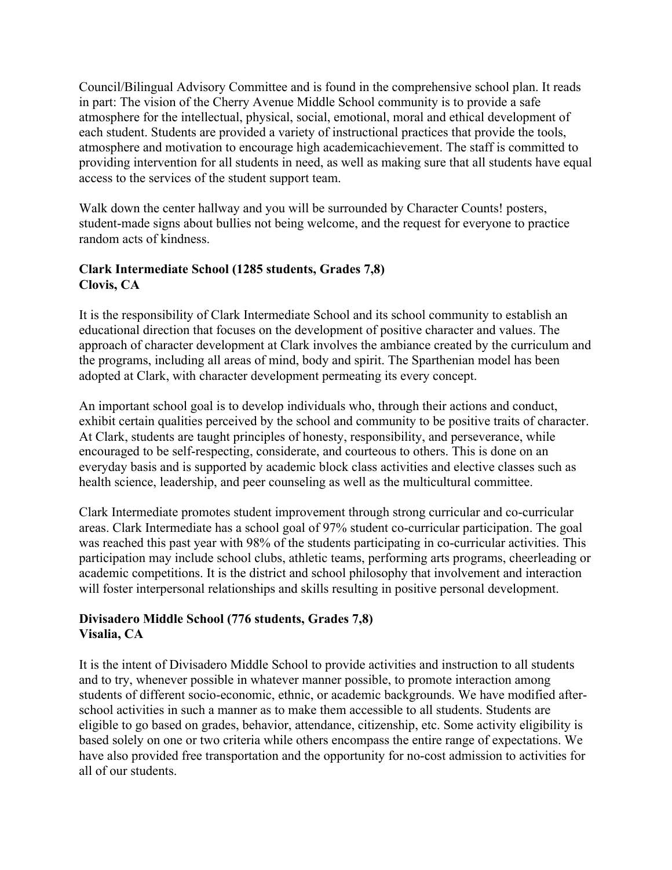Council/Bilingual Advisory Committee and is found in the comprehensive school plan. It reads in part: The vision of the Cherry Avenue Middle School community is to provide a safe atmosphere for the intellectual, physical, social, emotional, moral and ethical development of each student. Students are provided a variety of instructional practices that provide the tools, atmosphere and motivation to encourage high academicachievement. The staff is committed to providing intervention for all students in need, as well as making sure that all students have equal access to the services of the student support team.

Walk down the center hallway and you will be surrounded by Character Counts! posters, student-made signs about bullies not being welcome, and the request for everyone to practice random acts of kindness.

#### **Clark Intermediate School (1285 students, Grades 7,8) Clovis, CA**

It is the responsibility of Clark Intermediate School and its school community to establish an educational direction that focuses on the development of positive character and values. The approach of character development at Clark involves the ambiance created by the curriculum and the programs, including all areas of mind, body and spirit. The Sparthenian model has been adopted at Clark, with character development permeating its every concept.

An important school goal is to develop individuals who, through their actions and conduct, exhibit certain qualities perceived by the school and community to be positive traits of character. At Clark, students are taught principles of honesty, responsibility, and perseverance, while encouraged to be self-respecting, considerate, and courteous to others. This is done on an everyday basis and is supported by academic block class activities and elective classes such as health science, leadership, and peer counseling as well as the multicultural committee.

Clark Intermediate promotes student improvement through strong curricular and co-curricular areas. Clark Intermediate has a school goal of 97% student co-curricular participation. The goal was reached this past year with 98% of the students participating in co-curricular activities. This participation may include school clubs, athletic teams, performing arts programs, cheerleading or academic competitions. It is the district and school philosophy that involvement and interaction will foster interpersonal relationships and skills resulting in positive personal development.

#### **Divisadero Middle School (776 students, Grades 7,8) Visalia, CA**

It is the intent of Divisadero Middle School to provide activities and instruction to all students and to try, whenever possible in whatever manner possible, to promote interaction among students of different socio-economic, ethnic, or academic backgrounds. We have modified afterschool activities in such a manner as to make them accessible to all students. Students are eligible to go based on grades, behavior, attendance, citizenship, etc. Some activity eligibility is based solely on one or two criteria while others encompass the entire range of expectations. We have also provided free transportation and the opportunity for no-cost admission to activities for all of our students.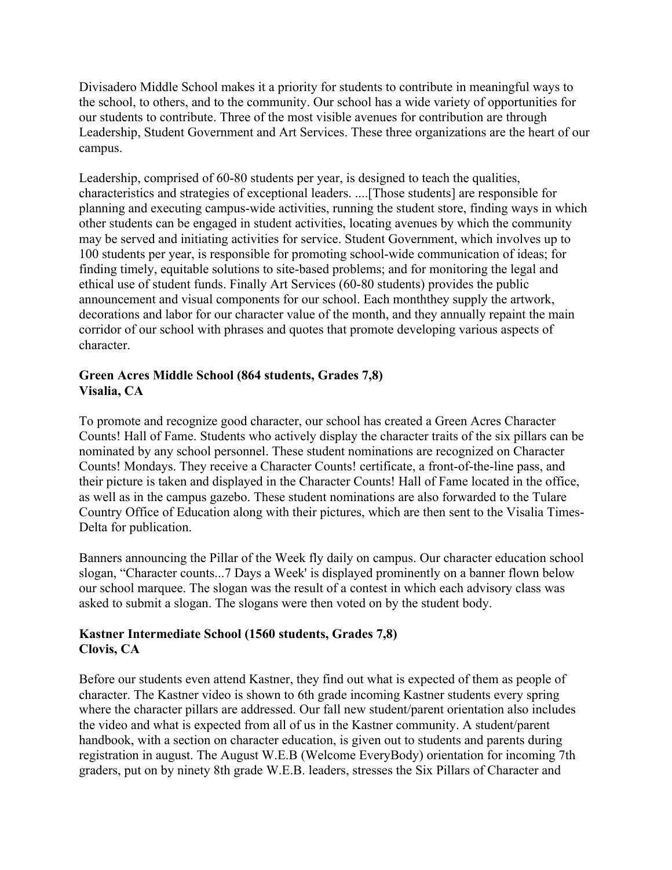Divisadero Middle School makes it a priority for students to contribute in meaningful ways to the school, to others, and to the community. Our school has a wide variety of opportunities for our students to contribute. Three of the most visible avenues for contribution are through Leadership, Student Government and Art Services. These three organizations are the heart of our campus.

Leadership, comprised of 60-80 students per year, is designed to teach the qualities, characteristics and strategies of exceptional leaders. ....[Those students] are responsible for planning and executing campus-wide activities, running the student store, finding ways in which other students can be engaged in student activities, locating avenues by which the community may be served and initiating activities for service. Student Government, which involves up to 100 students per year, is responsible for promoting school-wide communication of ideas; for finding timely, equitable solutions to site-based problems; and for monitoring the legal and ethical use of student funds. Finally Art Services (60-80 students) provides the public announcement and visual components for our school. Each monththey supply the artwork, decorations and labor for our character value of the month, and they annually repaint the main corridor of our school with phrases and quotes that promote developing various aspects of character.

#### **Green Acres Middle School (864 students, Grades 7,8) Visalia, CA**

To promote and recognize good character, our school has created a Green Acres Character Counts! Hall of Fame. Students who actively display the character traits of the six pillars can be nominated by any school personnel. These student nominations are recognized on Character Counts! Mondays. They receive a Character Counts! certificate, a front-of-the-line pass, and their picture is taken and displayed in the Character Counts! Hall of Fame located in the office, as well as in the campus gazebo. These student nominations are also forwarded to the Tulare Country Office of Education along with their pictures, which are then sent to the Visalia Times-Delta for publication.

Banners announcing the Pillar of the Week fly daily on campus. Our character education school slogan, "Character counts...7 Days a Week' is displayed prominently on a banner flown below our school marquee. The slogan was the result of a contest in which each advisory class was asked to submit a slogan. The slogans were then voted on by the student body.

#### **Kastner Intermediate School (1560 students, Grades 7,8) Clovis, CA**

Before our students even attend Kastner, they find out what is expected of them as people of character. The Kastner video is shown to 6th grade incoming Kastner students every spring where the character pillars are addressed. Our fall new student/parent orientation also includes the video and what is expected from all of us in the Kastner community. A student/parent handbook, with a section on character education, is given out to students and parents during registration in august. The August W.E.B (Welcome EveryBody) orientation for incoming 7th graders, put on by ninety 8th grade W.E.B. leaders, stresses the Six Pillars of Character and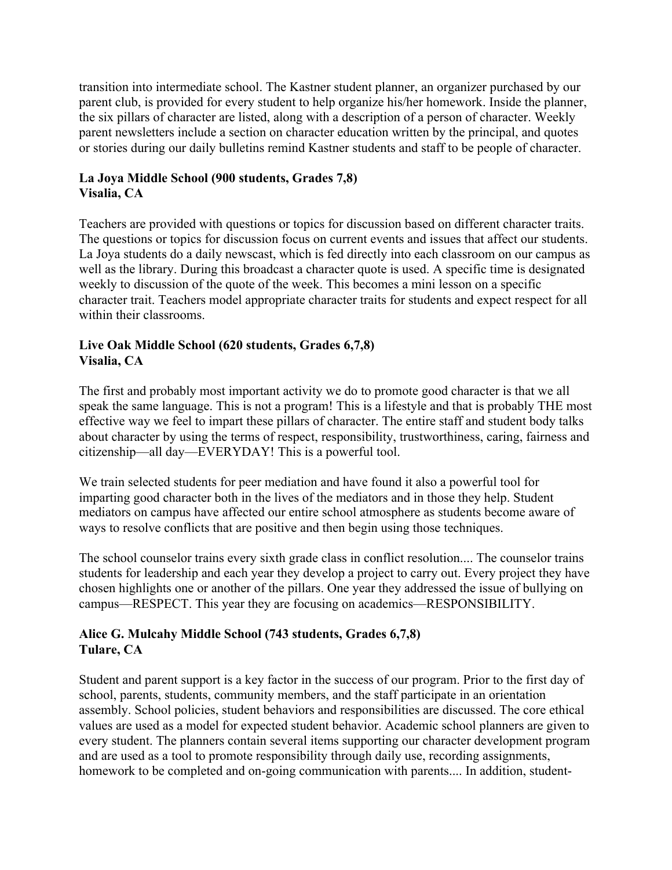transition into intermediate school. The Kastner student planner, an organizer purchased by our parent club, is provided for every student to help organize his/her homework. Inside the planner, the six pillars of character are listed, along with a description of a person of character. Weekly parent newsletters include a section on character education written by the principal, and quotes or stories during our daily bulletins remind Kastner students and staff to be people of character.

#### **La Joya Middle School (900 students, Grades 7,8) Visalia, CA**

Teachers are provided with questions or topics for discussion based on different character traits. The questions or topics for discussion focus on current events and issues that affect our students. La Joya students do a daily newscast, which is fed directly into each classroom on our campus as well as the library. During this broadcast a character quote is used. A specific time is designated weekly to discussion of the quote of the week. This becomes a mini lesson on a specific character trait. Teachers model appropriate character traits for students and expect respect for all within their classrooms.

#### **Live Oak Middle School (620 students, Grades 6,7,8) Visalia, CA**

The first and probably most important activity we do to promote good character is that we all speak the same language. This is not a program! This is a lifestyle and that is probably THE most effective way we feel to impart these pillars of character. The entire staff and student body talks about character by using the terms of respect, responsibility, trustworthiness, caring, fairness and citizenship—all day—EVERYDAY! This is a powerful tool.

We train selected students for peer mediation and have found it also a powerful tool for imparting good character both in the lives of the mediators and in those they help. Student mediators on campus have affected our entire school atmosphere as students become aware of ways to resolve conflicts that are positive and then begin using those techniques.

The school counselor trains every sixth grade class in conflict resolution.... The counselor trains students for leadership and each year they develop a project to carry out. Every project they have chosen highlights one or another of the pillars. One year they addressed the issue of bullying on campus—RESPECT. This year they are focusing on academics—RESPONSIBILITY.

#### **Alice G. Mulcahy Middle School (743 students, Grades 6,7,8) Tulare, CA**

Student and parent support is a key factor in the success of our program. Prior to the first day of school, parents, students, community members, and the staff participate in an orientation assembly. School policies, student behaviors and responsibilities are discussed. The core ethical values are used as a model for expected student behavior. Academic school planners are given to every student. The planners contain several items supporting our character development program and are used as a tool to promote responsibility through daily use, recording assignments, homework to be completed and on-going communication with parents.... In addition, student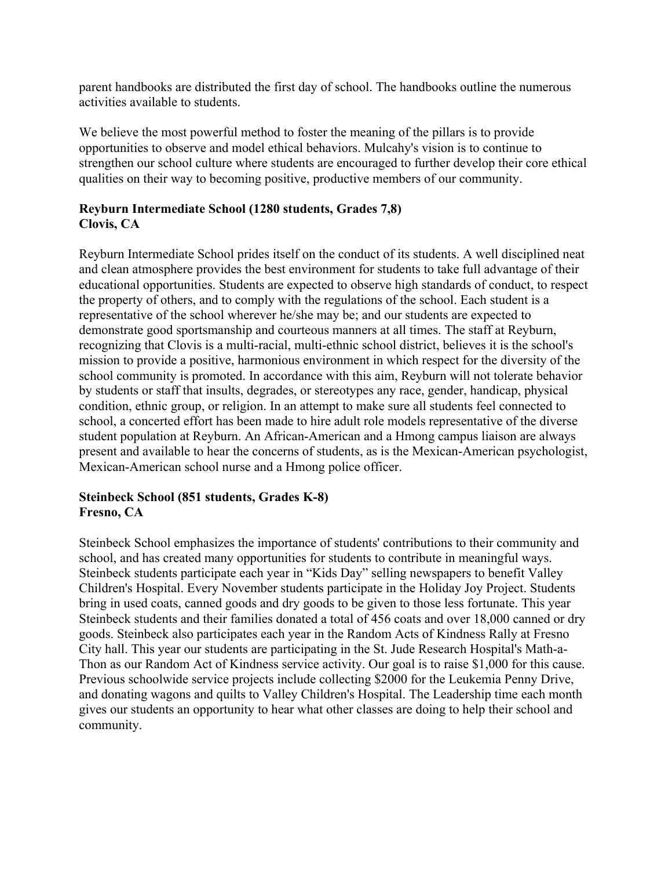parent handbooks are distributed the first day of school. The handbooks outline the numerous activities available to students.

We believe the most powerful method to foster the meaning of the pillars is to provide opportunities to observe and model ethical behaviors. Mulcahy's vision is to continue to strengthen our school culture where students are encouraged to further develop their core ethical qualities on their way to becoming positive, productive members of our community.

#### **Reyburn Intermediate School (1280 students, Grades 7,8) Clovis, CA**

Reyburn Intermediate School prides itself on the conduct of its students. A well disciplined neat and clean atmosphere provides the best environment for students to take full advantage of their educational opportunities. Students are expected to observe high standards of conduct, to respect the property of others, and to comply with the regulations of the school. Each student is a representative of the school wherever he/she may be; and our students are expected to demonstrate good sportsmanship and courteous manners at all times. The staff at Reyburn, recognizing that Clovis is a multi-racial, multi-ethnic school district, believes it is the school's mission to provide a positive, harmonious environment in which respect for the diversity of the school community is promoted. In accordance with this aim, Reyburn will not tolerate behavior by students or staff that insults, degrades, or stereotypes any race, gender, handicap, physical condition, ethnic group, or religion. In an attempt to make sure all students feel connected to school, a concerted effort has been made to hire adult role models representative of the diverse student population at Reyburn. An African-American and a Hmong campus liaison are always present and available to hear the concerns of students, as is the Mexican-American psychologist, Mexican-American school nurse and a Hmong police officer.

#### **Steinbeck School (851 students, Grades K-8) Fresno, CA**

Steinbeck School emphasizes the importance of students' contributions to their community and school, and has created many opportunities for students to contribute in meaningful ways. Steinbeck students participate each year in "Kids Day" selling newspapers to benefit Valley Children's Hospital. Every November students participate in the Holiday Joy Project. Students bring in used coats, canned goods and dry goods to be given to those less fortunate. This year Steinbeck students and their families donated a total of 456 coats and over 18,000 canned or dry goods. Steinbeck also participates each year in the Random Acts of Kindness Rally at Fresno City hall. This year our students are participating in the St. Jude Research Hospital's Math-a-Thon as our Random Act of Kindness service activity. Our goal is to raise \$1,000 for this cause. Previous schoolwide service projects include collecting \$2000 for the Leukemia Penny Drive, and donating wagons and quilts to Valley Children's Hospital. The Leadership time each month gives our students an opportunity to hear what other classes are doing to help their school and community.